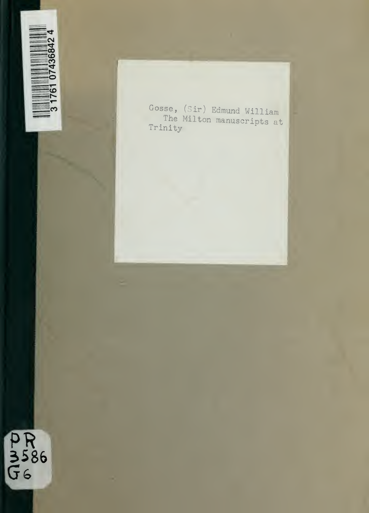

PR 3586  $G$ 6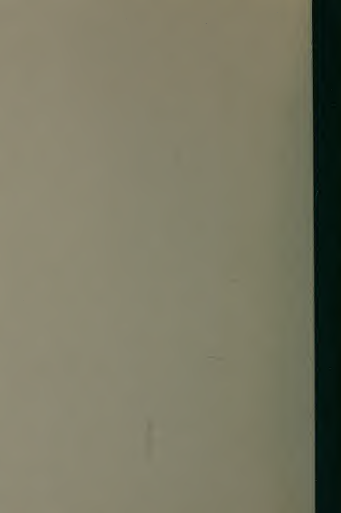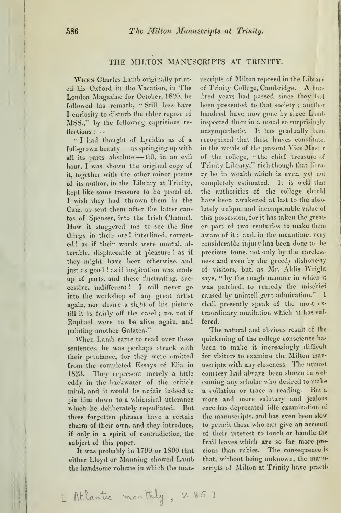# THE MILTON MANUSCRIPTS AT TRINITY.

WHEN Charles Lamb originally printed his Oxford in the Vacation, in The London Magazine for October, 1820, he followed his remark, "Still less have I curiosity to disturb the elder repose of MSS.," by the following capricious re- flections : —

" I had thought of Lycidas as of a full-grown beauty — as springing up with all its parts absolute — till, in an evil hour. <sup>I</sup> was shown the original copy of it, together with the other minor poems of its author, in the Library at Trinity, kept like some treasure to be proud of. <sup>I</sup> wish they had thrown them in the Cam, or sent them after the latter cantos of Spenser, into the Irish Cliannel. How it staggered me to see the fine things in their ore! interlined, corrected! as if their words were mortal, alterable, displaceable at pleasure ! as if they might have been otherwise, and just as good ! as if inspiration was made up of parts, and these fluctuating. successive, indifferent! I will never go into the workshop of any great artist again, nor desire a sight of his picture till it is fairly off the easel ; no, not if Raphael were to be alive again, and painting another Galatea."

When Lamb came to read over these sentences, he was perhaps struck with their petulance, for they were omitted from the completed Essays of Elia in 1823. Tlioy represent merely a little eddy in the backwater of the critic's mind, and it would be unfair indeed to pin him down to a whimsical utterance which he deliberately repudiated. But these forgotten phrases have a certain charm of their own, and they introduce, if only in a spirit of contradiction, the subject of this paper.

It was probably in 1790 or 1800 that either Lloyd or Manning showed Lamb the handsome volume in which the man-

 $E$  Atlantic monthly,  $v. 85$  ]

uscripts of Milton reposed in the Library of Trinity College, Cambridge. A hundred years had passed since they had been presented to that society; another hundred have now gone by since Lumb inspected them in a mood so surprisingly unsympathetic. It has gradually been recognized that these leaves constitute, in the words of the present Vice Master of the college, '• the chief treasuie of Trinity Library," rich though that library be in wealth which is even yet not completely estimated. It is well that the authorities of the college should have been awakened at last to the abso lutely unique and incomparable value of this possession, for it has taken the great er part of two centuries to make them aware of it ; and, in the meantime, very considerable injury has been done to the precious tome, not only by the careless ness and even by the greedy dishonesty of visitors, but, as Mr. Aldis Wright says, " by the rough manner in which it was patched, to remedy the mischief caused by unintelligent admiration." <sup>I</sup> shall presently speak of the most ex traordinary mutilation which it has suf fered.

The natural and obvious result of the quickening of the college conscience has been to make it increasingly difficult for visitors to examine the Milton manuscripts with any closeness. The utmost courtesy had always been shown in wel coming any scholar who desired to make a collation or trace a reading. Hut a more and more salutary and jealous care has deprecated idle examination of the manuscripts, and has even been slow to permit those who can give an account of their interest to touch or handle the frail leaves which are so far more precious than rubies. The consequence is that, without being unknown, the manuscripts of Milton at Trinity have practi-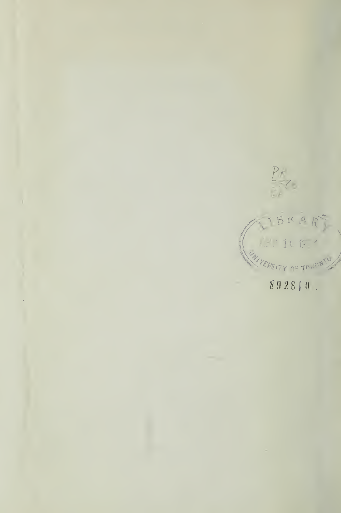$P_{\frac{2}{3}}$ EXTREME A R

 $892810$ .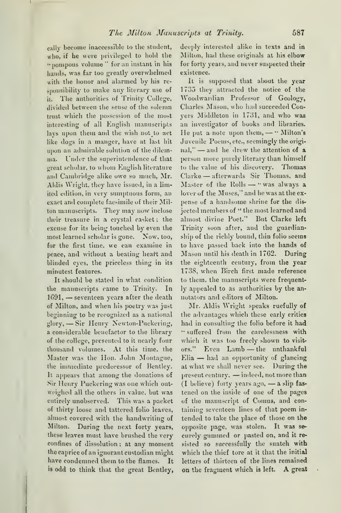who, if he were privileged to hold the Milton, had these originals at his elbow " pompous volume" for an instant in his for forty years, and never suspected their hands, was far too greatly overwhelmed existence. with the honor and alarmed by his re- It is supposed that about the year sponsibility to make any literary use of 1735 they attracted the notice of the it. The authorities of Trinity College, Woodwardian Professor of Geology, divided between the sense of the solemn Charles Mason, who had succeeded Contrust which the possession of the most yers Middleton in 1731, and who was interesting of all English manuscripts an investigator of books and libraries. lays upon them and the wish not to act He put a note upon them, — " Milton's<br>like dogs in a manger, have at last hit Juvenile Poems, etc., seemingly the origilike dogs in a manger, have at last hit upon an admirable solution of the dilem- nal,"  $-$  and he drew the attention of a ma. Under the superintendence of that person more purely literary than himself great scholar, to whom English literature to the value of his discovery. Thomas and Cambridge alike owe so much, Mr. Aldis Wright, they have issued, in a limited edition, in very sumptuous form, an exact and complete facsimile of their Milton manuscripts. They may now inclose jected members of "the most learned and their treasure in a crystal casket ; the almost divine Poet." But Clarke left excuse for its being touched by even the Trinity soon after, and the guardian most learned scholar is gone. Now, too, ship of the richly bound, thin folio seems for the first time, we can examine in to have passed back into the hands of peace, and without a beating heart and ^lason until his death in 1762. During blinded eyes, the priceless thing in its the eighteenth century, from the year minutest features. 1738, when Birch first made reference

the manuscripts came to Trinity. In 1691, - seventeen years after the death of Milton, and when his poetry was just beginning to be recognized as a national glory, — Sir Henry Newton-Puckering, a considerable benefactor to the library of tbe college, presented to it nearly four thousand volumes. At this time, the Master was the Hon. John Montague, the immediate predecessor of Bentiey. It appears that among the donations of Sir Henry Puckering was one which out- (I believe) forty years ago,  $\rightarrow$  a slip fas-<br>weighed all the others in value, but was tened on the inside of one of the pages entirely unobserved. This was a packet of the manuscript of Comus, and conof thirty loose and tattered folio leaves, taining seventeen lines of that poem in almost covered with the handwriting of tended to take the place of those on the Milton. During the next forty years, opposite page, was stolen. It was se these leaves must have brushed the very curely gummed or pasted on, and it reconfines of dissolution; at any moment sisted so successfully the suatch with the caprice of an ignorant custodian might which the thief tore at it that the initial have condemned them to the flames. It letters of thirteen of the lines remained is odd to think that the great Bentiey, on the fragment wliich is left. A great

callv become inaccessible to the student, deeply interested alike in texts and in

Clarke — afterwards Sir Thomas, and Master of the Rolls  $-$  "was always a lover of the Muses," and he was at the ex pense of a handsome shrine for the dis-It should be stated in what condition to them, the manuscripts were frequently appealed to as authorities by the annotators and editors of Milton.

> Mr. Aldis Wright speaks ruefully of the advantages which these early critics had in consulting the folio before it had \*• suffered from the carelessness with which it was too freely shown to visit ors." Even Lamb — the unthankful  $E$ lia — had an opportunity of glaneing at what we shall never see. During the present century. — indeed, not more than tened on the inside of one of the pages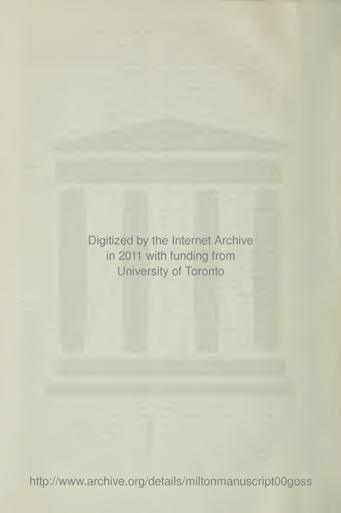Digitized by the Internet Archive in 2011 with funding from University of Toronto

http://www.archive.org/details/miltonmanuscript00goss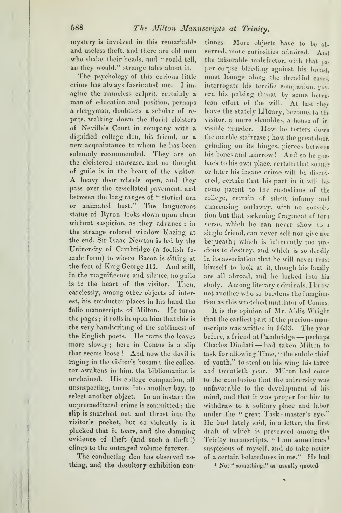mystery is involved in this remarkable tinues. More objects have to be ob-<br>and useless theft, and there are old men served, more curiosities admired. And and useless theft, and there are old men served, more curiosities admired. And<br>who shake their heads, and "could tell. the miserable malefactor, with that we who shake their heads, and "could tell, the miserable malefactor, with that pa-<br>an they would," strange tales about it. per corpse bleeding against his breast

crime has always fascinated me. I im- interrogate his terrific companion, governing the nameless culprit, certainly a ern his pulsing throat by some become agine the nameless culprit, certainly a ern his pulsing throat by some hercu-<br>man of education and position, perhaps lean effort of the will. At last they man of education and position, perhaps lean effort of the will. At last they a clergyman, doubtless a scholar of re- leave the stately Library, become to the pute, walking down the florid cloisters visitor, <sup>a</sup> mere shambles, <sup>a</sup> house of in of Neville's Court in company with <sup>a</sup> visible murder. How he totters down dignified college don, his friend, or a the marble staircase; how the great door, new acquaintance to whom he has been grinding on its hinges, pierces between solemnly recommended. They are on his bones and marrow! And so he goes the cloistered staircase, and no thought back to his own place, certain that sooner of guile is in the heart of the visitor. or later his insane crime will be discov-<br>A heavy door wheels open, and they ered, certain that his part in it will be-<br>pass over the tessellated pavement, and come patent to the cu pass over the tessellated pavement, and come patent to the custodians of the<br>between the long ranges of "storied urn college, certain of silent infamy and between the long ranges of " storied urn college, certain of silent infamy and<br>or animated bust." The languorous unaccusing outlawry, with no consolustatue of Byron looks down upon them tion but that sickening fragment of torn without suspicion, as they advance; in verse, which he can never show to a the strange colored window blazing at single friend, can never sell nor give nor the strange colored window blazing at single friend, can never sell nor give nor<br>the end, Sir Isaac Newton is led by the bequeath; which is inherently too prothe end, Sir Isaac Newton is led by the bequeath; which is inherently too pre-<br>University of Cambridge (a foolish fe-cious to destroy, and which is so deadly University of Cambridge (a foolish fe- cious to destroy, and which is so deadly male form) to where Bacon is sitting at in its association that he will never trust the feet of King George III. And still, himself to look at it, though his family in the magnificence and silence, no guile are all abroad, and he locked into his is in the heart of the visitor. Then, study. Among literary criminals. <sup>I</sup> know carelessly, among other objects of inter- not another who so burdens the imaginaest, his conductor places in his hand the tion as this wretched mutilator of Comus. folio manuscripts of Milton. He turns It is the opinion of Mr. Aldis Wright the pages; it rolls in upon him that this is that the earliest part of the precious manthe very handwriting of the sublimest of uscripts was written in 1G33. The year the English poets. He turns the leaves before, a friend at Cambridge  $-$  perhaps more slowly; here in Comus is a slip Charles Diodati — had taken Milton to that seems loose! And now the devil is task for allowing Time, "the subtle thief raging in the visitor's bosom; the collec- of youth," to steal on his wing his three tor awakens in him, the bibliomaniac is and twentieth year. Milton had come unchained. His college companion, all to the conclusion that the university was unsuspecting, turns into another bay, to unfavorable to the develojnnent of his select another object. In an instant the mind, and that it was proper for him to unpremeditated crime is committed ; the withdraw to a solitary place and labor slip is snatched out and thrust into the under the "great Task-master's eye." visitor's pocket, but so violently is it He bad lately said, in a letter, the first plucked that it tears, and the damning draft of which is preserved among the evidence of theft (and such a theft!) Trinity manuscripts. "I am sometimes<sup>1</sup>

thing, and the desultory exhibition con- 1 Not " something," as usually quoted.

If they would," strange tales about it. jher corpse bleeding against his breast.<br>The psychology of this curious little must lounge along the dreadful cases must lounge along the dreadful cases, leave the stately Library, become, to the grinding on its hinges, pierces between unaccusing outlawry, with no consolain its association that he will never trust are all abroad, and he locked into his

that the earliest part of the precious mantask for allowing Time, " the subtle thief clings to the outraged volume forever. suspicious of myself, and do take notice The conducting don has observed no- of a certain belatedness in me." He had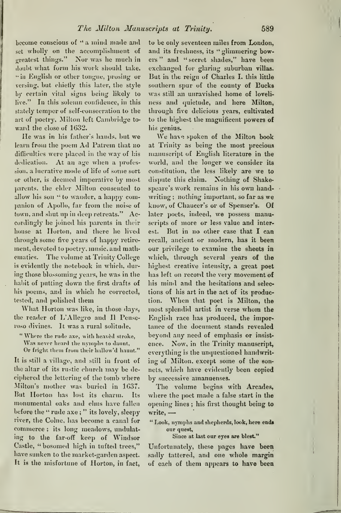become conscious of "a mind made and to be only seventeen miles from London, set wholly on the accomplishment of and its freshness, its " glimmering bow- (jreatest things." Nor was he much in ers " and " secret shades," have been doubt what form his work should take, exchanged for glaring suburban villas. •in English or other tongue, prosing or But in the reign of Charles I. this little versing, but chietly this later, the style southern spur of the county of Bucks by certain vital signs being likely to was still an unravished home of lovelilive." In this solemn confidence, in this ness and quietude, and here Milton, stately temper of self-consecration to the through five delicious years, cultivated art of poetry, Milton left Cambridge to- to the highest the magnificent powers of ward the close of 1632. his genius.

learn from the poem Ad Patrem that no at Trinity as being the most precious difficulties were placed in the way of his manuscript of English literature in the dedication. At an age when a profes- world, and the longer we consider its sion, a lucrative mode of life of some sort constitution, the less likely are we to or other, is deemed imperative by most dispute this claim. Nothing of Shakeallow his son '\* to wander, a happy com- writing ; nothing important, so far as we panion of Apollo, far from the noise of know, of Chaucer's or of Spenser's. Of town, and shut up in deep retreats." Ac- later poets, indeed, we possess manucordingly he joined his parents in their scripts of more or less value and interhouse at Horton, and there he lived est. But in no other case that I can through some five years of happy retire- recall, ancient or modern, has it been ment, devoted to poetry, music, and math- our privilege to examine the sheets in ematics. The volume at Trinity College which, through several years of the is evidently the notebook in which, dur- highest creative intensity, a great poet ing those blossoming years, he was in the has left on record the very movement of habit of putting down the first drafts of his mind and the hesitations and selechis poems, and in which he corrected, tions of his art in the act of its produc-

the reader of L'Allegro and Il Pense- English race has produced, the imporroso divines. It was a rural solitude,

" Where the rude axe, with heaved stroke,

Was never heard the nymphs to daunt,

Or fright them from their hallow'd haunt."

It is still a village, and still in front of ing of Milton, except some of the sonthe altar of its rustic church may be de- nets, which have evidently been copied ciphered the lettering of the tomb where by successive amanuenses. Milton's mother was buried in 1G37. The volume begins with Arcades, But Ilorton has lost its charm. Its where the poet made a false start in the monumental oaks and elms have fallen opening lines ; his first thought being to before the " rude axe ; " its lovely, sleepy write, —<br>river, the Colne, has become a canal for  $\frac{u_{\text{Look}}}{v_{\text{Look}}}$ commerce ; its long meadows, undulat- our quest,<br>ing to the far-off keep of Windsor Since at last our eyes are blest." ing to the far-off keep of Windsor Castle, " bosomed high in tufted trees," Unfortunately, these pages have been have sunken to the market-garden aspect. sadly tattered, and one whole margin

He was in his father's hands, but we We have spoken of the Milton book parents, the elder Milton consented to speare's work remains in his own handtested, and polished them tion. When that poet is Milton, the What Horton was like, in those days, most splendid artist in verse whom the tance of the document stands revealed beyond any need of emphasis or insist ence. Now, in the Trinity manuscript, everything is the unquestioned handwrit-

"Look, nymphs and shepherds, look, here ends

It is the misfortune of Horton, in fact, of each of them appears to have been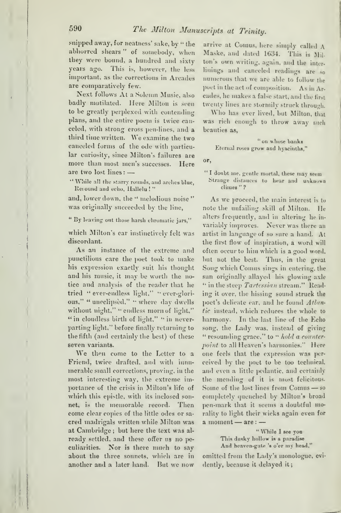snipped away, for neatness' sake, by " the arrive at Coinus, here simply called  $\Lambda$  abhorred shears " of somebody, when Maske, and dated 1634. This is Milthey were bound, a hundred and sixty ton's own writing, again, and the inter-<br>years ago. This is, however, the less limings and canceled readings are see years ago. This is, however, the less linings and canceled readings are so important, as the corrections in Arcades numerous that we are able to follow the

badly mutilated. Here Milton is seen twenty lines are stormily struck through,<br>to be greatly perplexed with contending. Who has ever lived, but Milton, that to be greatly perplexed with contending Who has ever lived, but Milton, that plans, and the entire poem is twice can- was rich enough to throw away such celed, with strong cross pen-lines, and a beauties as, third time written. We examine the two canceled forms of the ode with particu- $\frac{1}{2}$ lar curiosity, since Milton's failures are or, more than most men's successes. Here are two lost lines : —

" While all the starry rounds, and arches blue, Resound and echo, Hallelu !"

and, lower down, the " melodious noise" was originally succeeded by the line,

" By leaving out those harsh chromatic jars,"

which Milton's ear instinctively felt was artist in language of so sure a hand. At discordant.

punctilious care the poet took to make but not the best. Thus, in the great his expression exactly suit his thought Song which Comus sings in entering, the and his music, it may be worth the no- sun originally allayed his glowing axle tice and analysis of the reader that he " in the steep Tartessian stream." Readtried " ever-endless light," '" ever-glori- ing it over, the hissing sound struck the ous," " uneclipsed," " where day dwells poet's delicate ear, and he found Atlanwithout night," "endless morn of light," tic instead, which reduces the whole to " in cloudless birth of light," " in never- harmony. In the last line of the Echo parting light," before finally returning to song, the Lady was, instead of giving the fifth (and certainly the best) of these " resounding grace," to " *hold a counter-*

Friend, twice drafted, and with innu- ceived by the poet to be too technical, merablc small corrections, proving, in the and even a little pedantic, and certainly most interesting way, the extreme im- the mending of it is most felicitous, portance of the crisis in Milton's life of Some of the lost lines from Comus — so which this epistle, with its inclosed son- completely quenched by Milton's broad net, is the ineniorable record. Then pen-mark that it seems a doubtful mo come clear copies of the little odes or sa- rality to light their wicks again even for cred madrigals written while Milton was a moment - are : at Cambridge ; but here the text was al ready settled, and these offer us no peculiarities. Nor is there much to say about the three sonnets, which are in another and a later hand. But we now

important, as the corrections in Arcades numerous that we are able to follow the are comparatively few. poet in the act of composition. As in Ar-Next follows At a Solemn Music, also cades, he makes a false start, and the first badly mutilated. Here Milton is seen twenty lines are stormily struck through

was rich enough to throw away such

" on whose banks Eternal roses grow and hyacintha,"

" <sup>I</sup> donbt me. pentle mortal, these niay seem Strange distances to hear and unkuown climes " ?

As we proceed, the main interest is to note the unfailing skill of Milton. He alters frequently, and in altering he invariably improves. Never was there an discordant.<br>As an instance of the extreme and often-occur-to-him-which is a good word. often occur to him which is a good word, seven variants. **point to all Heaven's harmonies.**" Here We then come to the Letter to a one feels that the expression was per-

> " While I see you This dusky hollow is a paradise And heaven-gate 's o'er my head,"

omitted from the Lady's monologue, evidently, because it delayed it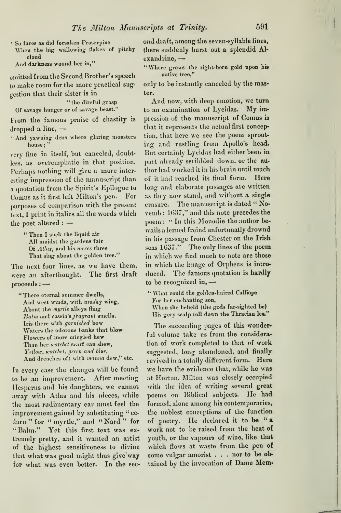" So fares as did forsaken Proserpine When the big wallowing flakes of pitchy

cloud

And darkness wound her in,"

omitted from the Second Brother's speech to make room for the more practical suggestion that their sister is in

" the direful grasp

Of savage hunger or of savage beast."

From the famous praise of chastity is dropped <sup>a</sup> line, —

"And yawning dens where glaring mousters house;"

very fine in itself, hut canceled, doubtless, as overemphatic in that position. Perhaps nothing will give a more inter esting impression of the manuscript than a quotation from the Spirit's Epilogue to Comus as it first left Milton's pen. For purposes of comparison with the present text, <sup>I</sup> print in italics all the words which the poet altered : —

" Then <sup>I</sup> suck the liquid air All amidst the gardens fair Of Atlas, and his nieces three That sing about the golden tree."

The next four lines, as we have them, were an afterthought. The first draft duced. proceeds :

"There eternal summer dwells, And west winds, with musky wing. About the myrtle alleys fling Balm and cassia's fragrant smells. Iris there with garnished bow- Waters the odorous banks that blow Flowers of more mingled hew Than her watchet scarf can shew, Yellow, watchet, green and blue, And drenches oft with manna dew," etc.

In every case the changes will be found to be an improvement. After meeting Hesperus and his daughters, we cannot away with Atlas and his nieces, while the most rudimentary ear must feel the improvement gained by substituting "eedarn " for " myrtle," and " Nard " for " Balm." Yet this first text was ex tremely pretty, and it wanted an artist of the highest sensitiveness to divine that what was good might thus give'way for what was even better. In the sec-

ond draft, among the seven-syllable lines, there suddenly burst out a splendid Al exandrine, —

" Where grows the right-born gold upon his native tree,"

only to be instantly canceled by the master.

And now, with deep emotion, we turn to an examination of Lycidas. My impression of the manuscript of Comus is that it represents the actual first conception, that here we see the poem sprout ing and rustling from Apollo's head. But certainly Lycidas had either been in part already seribbled down, or the author had worked it in his brain until much of it had reached its final form. Here long and elaborate passages are written as they now stand, and without a single erasure. The manuscript is dated " No vemb : 1637," and this note precedes the poem : "In this Monodie the author bewails a lerned freind unfortunatly drownd in his passage from Chester on the Irish seas 1G37." The only lines of the poem in which we find much to note are those in which the image of Orpheus is intro- The famous quotation is hardly to be recognized in, —

" Wiat could the golden-haired Calliope For her enchanting son.

When she beheld (the gods far-sighted be) His gory scalp roll down the Thracian lea."

The succeeding pages of this wonderful volume take us from the consideration of work completed to that of work suggested, long abandoned, and finally revived in a totally different form. Here we have the evidence that, wliile he was at Horton, Milton was closely occupied with the idea of writing several great poems on Biblical subjects. He had formed, alone among his contemporaries, the noblest conceptions of the function of poetry. He declared it to be "a work not to be raised from the heat of youth, or the vapours of wine, like that which flows at waste from the pen of some vulgar amorist . . . nor to be ob tained by the invocation of Dame Mem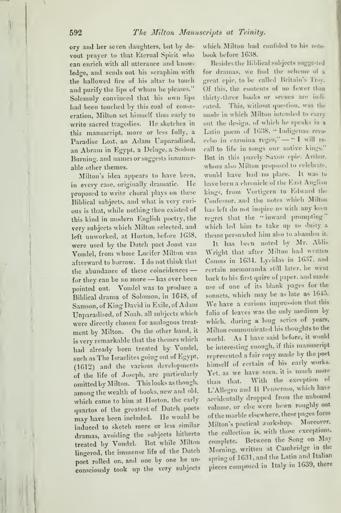ory and her seven daughters, but by devout prayer to that Eternal Spirit who can enrich with all utterance and knowledge, and sends out his seraphim with the hallowed fire of his altar to touch and purify the lips of whom he pleases." Solemnly convinced that his own lips had been touched by this coal of conseeration, Milton set himself thus early to write sacred tragedies. He sketches in this manuscript, more or less fully, a Paradise Lost, an Adam Unparadised, an Abram in Egypt, a Deluge, a Sodom Burning, and names or suggests innumerable other themes.

Milton's idea appears to have been, in every case, originally dramatic. He proposed to write choral plays on these Biblical subjects, and what is very curious is that, while nothing then existed of this kind in modern English poetry, the very subjects which Milton selected, and left unworked, at Horton, before 1638, were used by the Dutch poet Joost van Vondel, from whose Lucifer Milton was afterward to borrow. I do not think that the abundance of these coincidences for they can be no more - has ever been pointed out. Vondel was to produce a Biblical drama of Solomon, in 1648, of Samson, of King David in Exile, of Adam Unparadised, of Noah. all subjects which were directly chosen for analogous treatment by Milton. On the other hand, it is very remarkable that the themes which had already been treated by Vondel, such as The Israelites going out of Egypt, (1612) and the various developments of the life of Joseph, are particularly omitted by Milton. This looks as though, among the wealth of books, new and old, which came to him at Horton, the early quartos of the greatest of Dutch poets may have been included. He would be induced to sketch more or less similar dramas, avoiding the subjects hitherto treated by Vondel. But while Milton lingered, the immense life of the Dutch poet rolled on, and one by one he unconsciously took up the very subjects

which Milton had confided to his notebook before 1638.

Besides the Biblical subjects suggested for dramas, we find the scheme of a great epic, to be called Britain's Troy. Of this, the contents of no fewer than thirty-three books or scenes are indieated. This, without question, was the mode in which Milton intended to carry out the design, of which he speaks in a Latin poem of 1638, "Indigenas revoeebo in carmina reges," - "I will recall to life in songs our native kings." But in this purely Saxon epic. Arthur, whom also Milton proposed to celebrate. would have had no place. It was to have been a chronicle of the East Anglian kings, from Vortigern to Edward the Confessor, and the notes which Milton has left do not inspire us with any keen regret that the "inward prompting" which led him to take up so dusty a theme persuaded him also to abandon it.

It has been noted by Mr. Aldis Wright that after Milton had written Comus in 1634. Lycidas in 1637, and certain memoranda still later, he went back to his first quire of paper. and made use of one of its blank pages for the sonnets, which may be as late as 1645. We have a curious impression that this folio of leaves was the only medium by which, during a long series of years, Milton communicated his thoughts to the world. As I have said before, it would be interesting enough, if this manuscript represented a fair copy made by the poet himself of certain of his early works. Yet, as we have seen, it is much more than that. With the exception of L'Allegro and Il Penseroso, which have accidentally dropped from the unbound volume, or else were hewn roughly out of the marble elsewhere, these pages form Milton's poetical workshop. Moreover. the collection is, with those exceptions, complete. Between the Song on May Morning, written at Cambridge in the spring of 1631, and the Latin and Italian pieces composed in Italy in 1639, there

592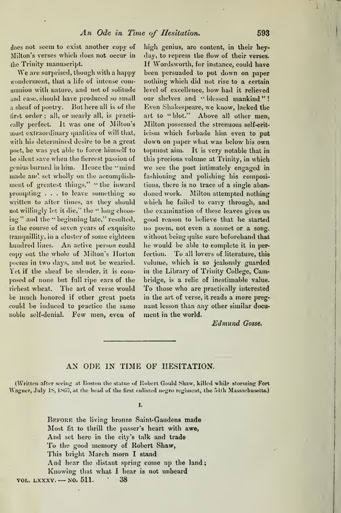does not seem to exist another copy of Milton's verses which does not occur in the Trinity manuscript.

We are surprised, though with a happy wonderment, that a life of intense communion with nature, and not of solitude and ease, should have produced so small <sup>a</sup> sheaf of poetry. But here all is of the first order ; all, or nearly all, is practically perfect. It was one of Milton's most extraordinary qualities of will that, with his determined desire to he a great poet, he was yet able to force himself to be silent save when the fiercest passion of genius hurnod in him. Hence the "mind made and set wholly on the accomplishment of greatest things," " the inward prompting ... to leave something so written to after times, as they should not willingly let it die," the " long choosing " and the " beginning late," resulted, in the course of seven years of exquisite tranquillity, in a cluster of some eighteen hundred lines. An active person could cojjy out the whole of Milton's Ilorton poems in two days, and not be wearied. Yet if the sheaf be slender, it is composed of none but full ripe ears of the richest wheat. The art of verse would be much honored if other great poets could be induced to practice the same noble self-denial. Few men, even of

high genius, are content, in their heyday, to repress the flow of their verses. If Wordsworth, for instance, could have been persuaded to put down on paper nothing which did not rise to a certain level of excellence, how had it relieved our shelves and " blessed mankind"! Even Shakespeare, we know, lacked the art to "blot." Above all other men, Milton possessed the strenuous self-criticism which forbade him even to put down on paper what was below his own topmost aim. It is very notable that in this precious volume at Trinity, in which we see the poet intimately engaged in fashioning and polishing his compositions, there is no trace of a single aban doned work. Milton attempted nothing which he failed to carry through, and the examination of these leaves gives us good reason to believe that he started no poem, not even a sonnet or a song, without being quite sure beforehand that he would be able to complete it in perfection. To all lovers of literature, this volume, which is so jealously guarded in the Library of Trinity College, Cambridge, is a relic of inestimable value. To those who are practically interested in the art of verse, it reads a more preg nant lesson than any other similar docu ment in the world.

Edmund Gosse.

## AN ODE IN TIME OF HESITATION.

(Written after seeing at Boston the statue of Robert Gould Shaw, killed while storming Fort Wagner, July 18, 1863, at the head of the first enlisted negro regiment, the 54th Massachusetts.)

### I.

BEFORE the living bronze Saint-Gaudens made Most fit to thrill the passer's heart with awe, And set here in the city's talk and trade To the good memory of Robert Shaw, This bright March morn I stand And hear the distant spring come up the land; Knowing that what <sup>I</sup> hear is not unheard

VOL. LXXXV. — NO. 511. <sup>188</sup>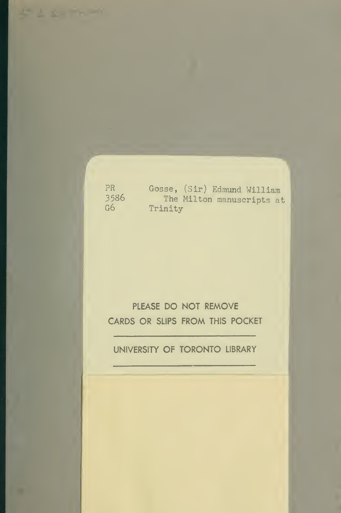#### PR 3586 G6 Gosse, (Sir) Edmund William The Milton manuscripts at Trinity

# PLEASE DO NOT REMOVE CARDS OR SLIPS FROM THIS POCKET

UNIVERSITY OF TORONTO LIBRARY